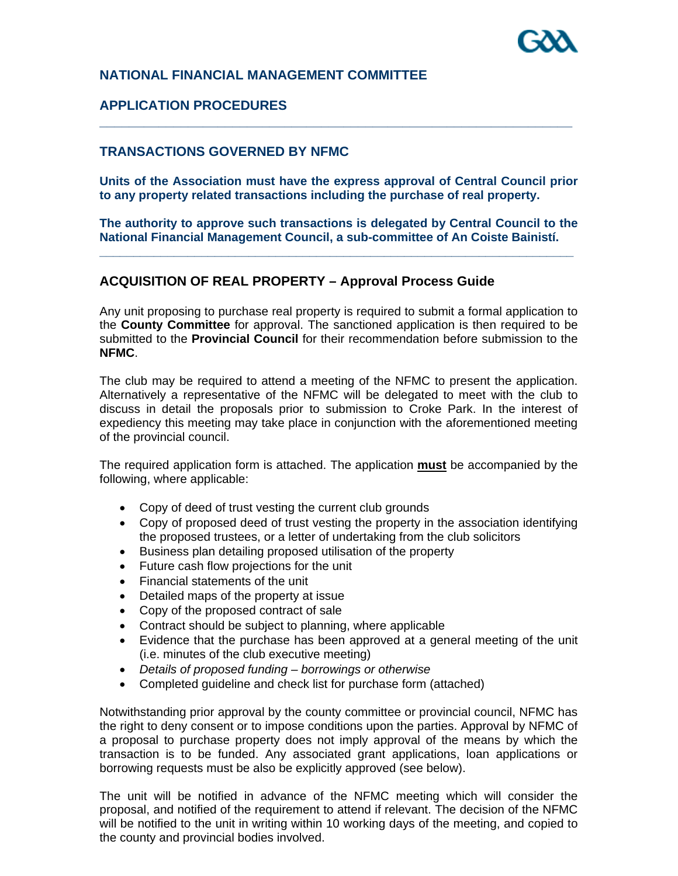

#### **NATIONAL FINANCIAL MANAGEMENT COMMITTEE**

#### **APPLICATION PROCEDURES**

#### **TRANSACTIONS GOVERNED BY NFMC**

**Units of the Association must have the express approval of Central Council prior to any property related transactions including the purchase of real property.** 

**\_\_\_\_\_\_\_\_\_\_\_\_\_\_\_\_\_\_\_\_\_\_\_\_\_\_\_\_\_\_\_\_\_\_\_\_\_\_\_\_\_\_\_\_\_\_\_\_\_\_\_\_\_\_\_\_\_\_\_\_\_\_\_\_** 

**The authority to approve such transactions is delegated by Central Council to the National Financial Management Council, a sub-committee of An Coiste Bainistí. \_\_\_\_\_\_\_\_\_\_\_\_\_\_\_\_\_\_\_\_\_\_\_\_\_\_\_\_\_\_\_\_\_\_\_\_\_\_\_\_\_\_\_\_\_\_\_\_\_\_\_\_\_\_\_\_\_\_\_\_\_\_\_\_\_\_\_\_\_\_** 

#### **ACQUISITION OF REAL PROPERTY – Approval Process Guide**

Any unit proposing to purchase real property is required to submit a formal application to the **County Committee** for approval. The sanctioned application is then required to be submitted to the **Provincial Council** for their recommendation before submission to the **NFMC**.

The club may be required to attend a meeting of the NFMC to present the application. Alternatively a representative of the NFMC will be delegated to meet with the club to discuss in detail the proposals prior to submission to Croke Park. In the interest of expediency this meeting may take place in conjunction with the aforementioned meeting of the provincial council.

The required application form is attached. The application **must** be accompanied by the following, where applicable:

- Copy of deed of trust vesting the current club grounds
- Copy of proposed deed of trust vesting the property in the association identifying the proposed trustees, or a letter of undertaking from the club solicitors
- Business plan detailing proposed utilisation of the property
- Future cash flow projections for the unit
- Financial statements of the unit
- Detailed maps of the property at issue
- Copy of the proposed contract of sale
- Contract should be subject to planning, where applicable
- Evidence that the purchase has been approved at a general meeting of the unit (i.e. minutes of the club executive meeting)
- *Details of proposed funding borrowings or otherwise*
- Completed guideline and check list for purchase form (attached)

Notwithstanding prior approval by the county committee or provincial council, NFMC has the right to deny consent or to impose conditions upon the parties. Approval by NFMC of a proposal to purchase property does not imply approval of the means by which the transaction is to be funded. Any associated grant applications, loan applications or borrowing requests must be also be explicitly approved (see below).

The unit will be notified in advance of the NFMC meeting which will consider the proposal, and notified of the requirement to attend if relevant. The decision of the NFMC will be notified to the unit in writing within 10 working days of the meeting, and copied to the county and provincial bodies involved.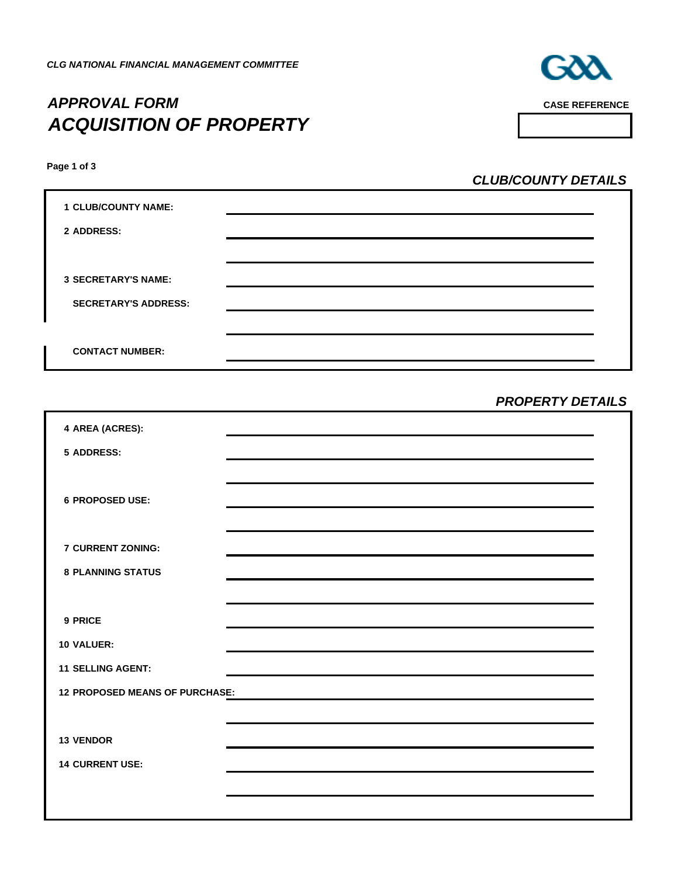# *APPROVAL FORM* **CASE REFERENCE** *ACQUISITION OF PROPERTY*



**Page 1 of 3**

*CLUB/COUNTY DETAILS*

| <b>1 CLUB/COUNTY NAME:</b>  |  |
|-----------------------------|--|
| 2 ADDRESS:                  |  |
|                             |  |
| <b>3 SECRETARY'S NAME:</b>  |  |
| <b>SECRETARY'S ADDRESS:</b> |  |
|                             |  |
| <b>CONTACT NUMBER:</b>      |  |

*PROPERTY DETAILS*

| 4 AREA (ACRES):                       |                                                                                                                                                                                                                               |
|---------------------------------------|-------------------------------------------------------------------------------------------------------------------------------------------------------------------------------------------------------------------------------|
| <b>5 ADDRESS:</b>                     |                                                                                                                                                                                                                               |
|                                       |                                                                                                                                                                                                                               |
| <b>6 PROPOSED USE:</b>                |                                                                                                                                                                                                                               |
|                                       |                                                                                                                                                                                                                               |
|                                       |                                                                                                                                                                                                                               |
| <b>7 CURRENT ZONING:</b>              |                                                                                                                                                                                                                               |
| <b>8 PLANNING STATUS</b>              |                                                                                                                                                                                                                               |
|                                       |                                                                                                                                                                                                                               |
| 9 PRICE                               |                                                                                                                                                                                                                               |
| <b>10 VALUER:</b>                     |                                                                                                                                                                                                                               |
| <b>11 SELLING AGENT:</b>              |                                                                                                                                                                                                                               |
| <b>12 PROPOSED MEANS OF PURCHASE:</b> | the control of the control of the control of the control of the control of the control of the control of the control of the control of the control of the control of the control of the control of the control of the control |
|                                       |                                                                                                                                                                                                                               |
| <b>13 VENDOR</b>                      |                                                                                                                                                                                                                               |
| <b>14 CURRENT USE:</b>                |                                                                                                                                                                                                                               |
|                                       |                                                                                                                                                                                                                               |
|                                       |                                                                                                                                                                                                                               |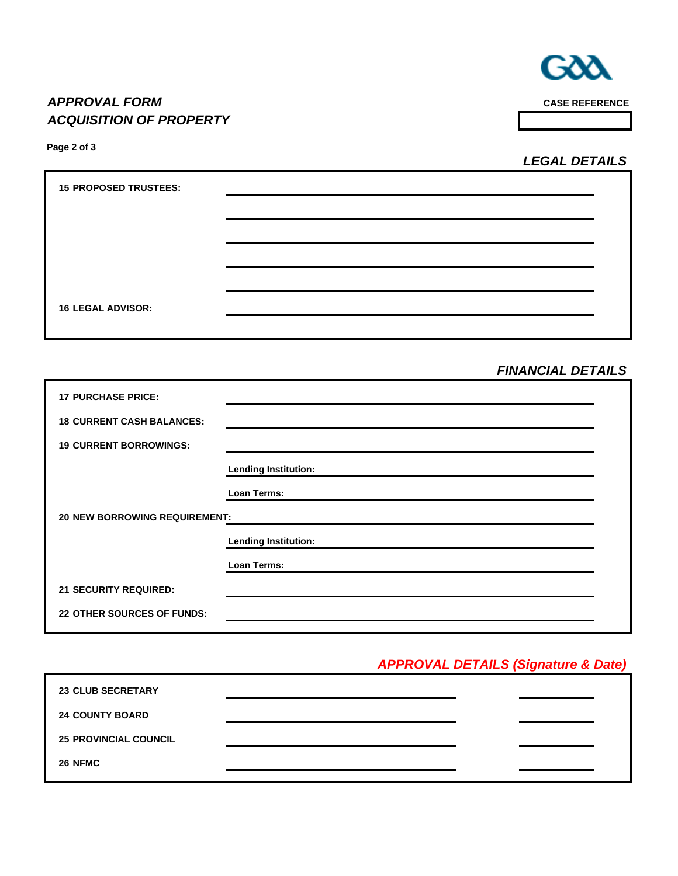

## *APPROVAL FORM CASE REFERENCE ACQUISITION OF PROPERTY*

**Page 2 of 3**

*LEGAL DETAILS*

| <b>15 PROPOSED TRUSTEES:</b> |  |
|------------------------------|--|
|                              |  |
|                              |  |
|                              |  |
|                              |  |
| <b>16 LEGAL ADVISOR:</b>     |  |
|                              |  |

## *FINANCIAL DETAILS*

| <b>17 PURCHASE PRICE:</b>            |                             |  |  |  |
|--------------------------------------|-----------------------------|--|--|--|
| <b>18 CURRENT CASH BALANCES:</b>     |                             |  |  |  |
| <b>19 CURRENT BORROWINGS:</b>        |                             |  |  |  |
|                                      | <b>Lending Institution:</b> |  |  |  |
|                                      | Loan Terms:                 |  |  |  |
| <b>20 NEW BORROWING REQUIREMENT:</b> |                             |  |  |  |
|                                      | <b>Lending Institution:</b> |  |  |  |
|                                      | Loan Terms:                 |  |  |  |
| <b>21 SECURITY REQUIRED:</b>         |                             |  |  |  |
| <b>22 OTHER SOURCES OF FUNDS:</b>    |                             |  |  |  |
|                                      |                             |  |  |  |

## *APPROVAL DETAILS (Signature & Date)*

| <b>23 CLUB SECRETARY</b>     |  |
|------------------------------|--|
| <b>24 COUNTY BOARD</b>       |  |
| <b>25 PROVINCIAL COUNCIL</b> |  |
| 26 NFMC                      |  |
|                              |  |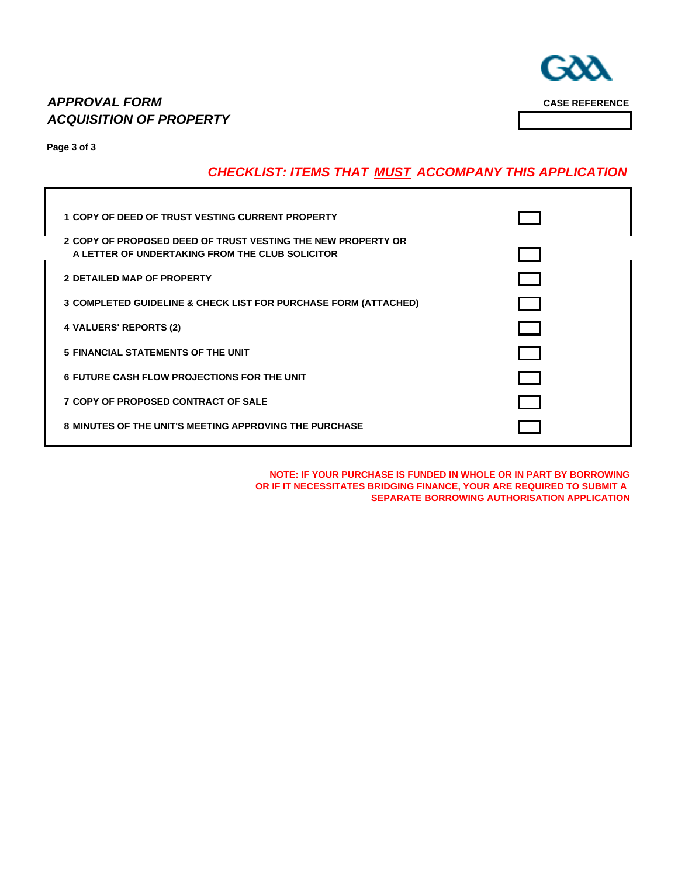٦

## *APPROVAL FORM* **CASE REFERENCE** *ACQUISITION OF PROPERTY*

**Page 3 of 3**

## *CHECKLIST: ITEMS THAT MUST ACCOMPANY THIS APPLICATION*

| 1 COPY OF DEED OF TRUST VESTING CURRENT PROPERTY                                                                |  |
|-----------------------------------------------------------------------------------------------------------------|--|
| 2 COPY OF PROPOSED DEED OF TRUST VESTING THE NEW PROPERTY OR<br>A LETTER OF UNDERTAKING FROM THE CLUB SOLICITOR |  |
| <b>2 DETAILED MAP OF PROPERTY</b>                                                                               |  |
| 3 COMPLETED GUIDELINE & CHECK LIST FOR PURCHASE FORM (ATTACHED)                                                 |  |
| 4 VALUERS' REPORTS (2)                                                                                          |  |
| 5 FINANCIAL STATEMENTS OF THE UNIT                                                                              |  |
| <b>6 FUTURE CASH FLOW PROJECTIONS FOR THE UNIT</b>                                                              |  |
| <b>7 COPY OF PROPOSED CONTRACT OF SALE</b>                                                                      |  |
| <b>8 MINUTES OF THE UNIT'S MEETING APPROVING THE PURCHASE</b>                                                   |  |

**NOTE: IF YOUR PURCHASE IS FUNDED IN WHOLE OR IN PART BY BORROWING OR IF IT NECESSITATES BRIDGING FINANCE, YOUR ARE REQUIRED TO SUBMIT A SEPARATE BORROWING AUTHORISATION APPLICATION**